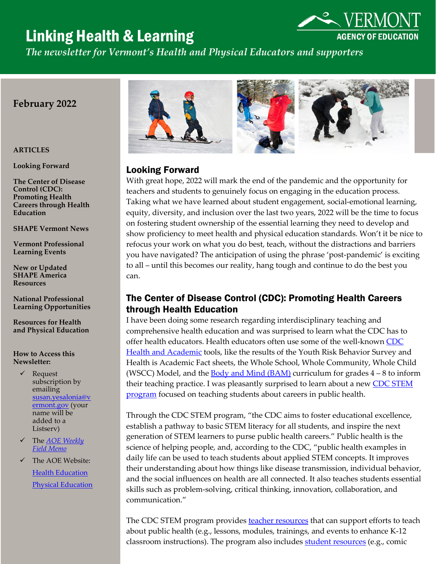# Linking Health & Learning



*The newsletter for Vermont's Health and Physical Educators and supporters*

# **February 2022**

# **ARTICLES**

**Looking Forward**

**The Center of Disease Control (CDC): Promoting Health Careers through Health Education**

**SHAPE Vermont News**

**Vermont Professional Learning Events**

**New or Updated SHAPE America Resources** 

**National Professional Learning Opportunities**

**Resources for Health and Physical Education**

**How to Access this Newsletter:**

- $\checkmark$  Request subscription by emailing [susan.yesalonia@v](mailto:susan.yesalonia@vermont.gov) [ermont.gov](mailto:susan.yesalonia@vermont.gov) (your name will be added to a Listserv)
- The *[AOE Weekly](https://education.vermont.gov/blog) [Field Memo](https://education.vermont.gov/blog)*
- $\checkmark$  The AOE Website: [Health Education](https://education.vermont.gov/student-learning/content-areas/health-education) [Physical Education](https://education.vermont.gov/student-learning/content-areas/physical-education)



# Looking Forward

With great hope, 2022 will mark the end of the pandemic and the opportunity for teachers and students to genuinely focus on engaging in the education process. Taking what we have learned about student engagement, social-emotional learning, equity, diversity, and inclusion over the last two years, 2022 will be the time to focus on fostering student ownership of the essential learning they need to develop and show proficiency to meet health and physical education standards. Won't it be nice to refocus your work on what you do best, teach, without the distractions and barriers you have navigated? The anticipation of using the phrase 'post-pandemic' is exciting to all – until this becomes our reality, hang tough and continue to do the best you can.

## The Center of Disease Control (CDC): Promoting Health Careers through Health Education

I have been doing some research regarding interdisciplinary teaching and comprehensive health education and was surprised to learn what the CDC has to offer health educators. Health educators often use some of the well-know[n CDC](https://www.cdc.gov/healthyschools/health_and_academics/index.htm)  [Health and Academic](https://www.cdc.gov/healthyschools/health_and_academics/index.htm) tools, like the results of the Youth Risk Behavior Survey and Health is Academic Fact sheets, the Whole School, Whole Community, Whole Child (WSCC) Model, and the [Body and Mind \(BAM\)](https://www.cdc.gov/healthyschools/bam/teachers.htm) curriculum for grades  $4-8$  to inform their teaching practice. I was pleasantly surprised to learn about a new CDC STEM [program](https://www.cdc.gov/stem/index.html) focused on teaching students about careers in public health.

Through the CDC STEM program, "the CDC aims to foster educational excellence, establish a pathway to basic STEM literacy for all students, and inspire the next generation of STEM learners to purse public health careers." Public health is the science of helping people, and, according to the CDC, "public health examples in daily life can be used to teach students about applied STEM concepts. It improves their understanding about how things like disease transmission, individual behavior, and the social influences on health are all connected. It also teaches students essential skills such as problem-solving, critical thinking, innovation, collaboration, and communication."

The CDC STEM program provides **teacher resources** that can support efforts to teach about public health (e.g., lessons, modules, trainings, and events to enhance K-12 classroom instructions). The program also includes [student resources](https://www.cdc.gov/stem/student_resources_k-12/index.html) (e.g., comic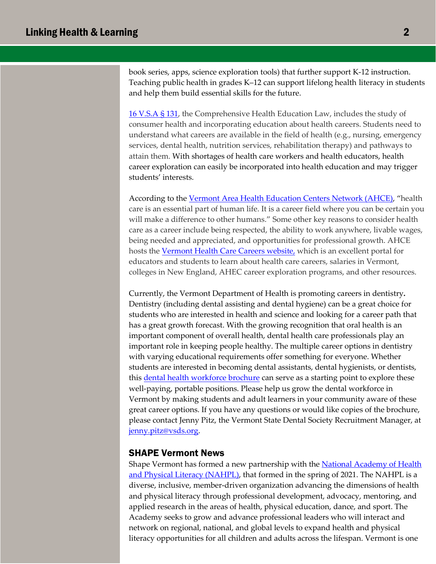book series, apps, science exploration tools) that further support K-12 instruction. Teaching public health in grades K–12 can support lifelong health literacy in students and help them build essential skills for the future.

[16 V.S.A § 131,](https://legislature.vermont.gov/statutes/section/16/001/00131) the Comprehensive Health Education Law, includes the study of consumer health and incorporating education about health careers. Students need to understand what careers are available in the field of health (e.g., nursing, emergency services, dental health, nutrition services, rehabilitation therapy) and pathways to attain them. With shortages of health care workers and health educators, health career exploration can easily be incorporated into health education and may trigger students' interests.

According to the [Vermont Area Health](https://vthealthcareers.org/) Education Centers Network (AHCE), "health care is an essential part of human life. It is a career field where you can be certain you will make a difference to other humans." Some other key reasons to consider health care as a career include being respected, the ability to work anywhere, livable wages, being needed and appreciated, and opportunities for professional growth. AHCE hosts the Vermont [Health Care Careers](https://vthealthcareers.org/) website, which is an excellent portal for educators and students to learn about health care careers, salaries in Vermont, colleges in New England, AHEC career exploration programs, and other resources.

Currently, the Vermont Department of Health is promoting careers in dentistry**.**  Dentistry (including dental assisting and dental hygiene) can be a great choice for students who are interested in health and science and looking for a career path that has a great growth forecast. With the growing recognition that oral health is an important component of overall health, dental health care professionals play an important role in keeping people healthy. The multiple career options in dentistry with varying educational requirements offer something for everyone. Whether students are interested in becoming dental assistants, dental hygienists, or dentists, thi[s dental health workforce brochure](https://www.vsds.org/docs/librariesprovider50/default-document-library/dental_careers_brochure_web.pdf?sfvrsn=d6a9f28a_0) can serve as a starting point to explore these well-paying, portable positions. Please help us grow the dental workforce in Vermont by making students and adult learners in your community aware of these great career options. If you have any questions or would like copies of the brochure, please contact Jenny Pitz, the Vermont State Dental Society Recruitment Manager, at [jenny.pitz@vsds.org.](mailto:jenny.pitz@vsds.org)

#### SHAPE Vermont News

Shape Vermont has formed a new partnership with the **National Academy of Health** and Physical [Literacy \(NAHPL\), that formed in the spring of 2021.](https://nahpl.org/) The NAHPL is a diverse, inclusive, member-driven organization advancing the dimensions of health and physical literacy through professional development, advocacy, mentoring, and applied research in the areas of health, physical education, dance, and sport. The Academy seeks to grow and advance professional leaders who will interact and network on regional, national, and global levels to expand health and physical literacy opportunities for all children and adults across the lifespan. Vermont is one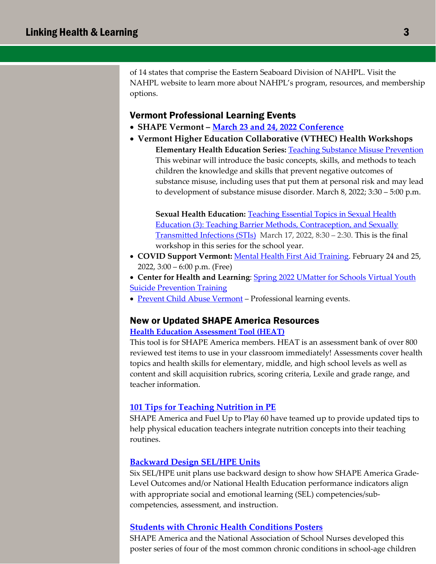of 14 states that comprise the Eastern Seaboard Division of NAHPL. Visit the NAHPL website to learn more about NAHPL's program, resources, and membership options.

## Vermont Professional Learning Events

- **SHAPE Vermont – [March 23 and 24, 2022 Conference](https://www.shapevt.org/shape-vt-conferences-events.php)**
- **Vermont Higher Education Collaborative (VTHEC) Health Workshops Elementary Health Education Series:** [Teaching Substance Misuse Prevention](https://www.vthec.org/event/teaching-substance-misuse-prevention/?instance_id=2519) This webinar will introduce the basic concepts, skills, and methods to teach children the knowledge and skills that prevent negative outcomes of substance misuse, including uses that put them at personal risk and may lead to development of substance misuse disorder. March 8, 2022; 3:30 – 5:00 p.m.

**Sexual Health Education:** [Teaching Essential Topics in Sexual Health](https://reg136.imperisoft.com/VermontHigherEd/ProgramDetail/3239323837/Registration.aspx)  [Education \(3\): Teaching Barrier Methods, Contraception, and Sexually](https://reg136.imperisoft.com/VermontHigherEd/ProgramDetail/3239323837/Registration.aspx)  [Transmitted Infections \(STIs\)](https://reg136.imperisoft.com/VermontHigherEd/ProgramDetail/3239323837/Registration.aspx) March 17, 2022, 8:30 – 2:30. This is the final workshop in this series for the school year.

- **COVID Support Vermont:** [Mental Health First Aid](https://www.eventbrite.com/e/mental-health-first-aid-training-sponsored-by-covid-support-vt-tickets-257142870247) Training. February 24 and 25, 2022, 3:00 – 6:00 p.m. (Free)
- **Center for Health and Learning**: [Spring 2022 UMatter for Schools Virtual Youth](https://www.eventbrite.com/e/spring-2022-umatter-for-schools-virtual-youth-suicide-prevention-training-tickets-178225767067) **[Suicide Prevention Training](https://www.eventbrite.com/e/spring-2022-umatter-for-schools-virtual-youth-suicide-prevention-training-tickets-178225767067)**
- [Prevent Child Abuse Vermont](https://www.eventbrite.com/o/prevent-child-abuse-vermont-19838347108)  Professional learning events.

## New or Updated SHAPE America Resources

#### **[Health Education Assessment Tool \(HEAT\)](https://www.shapeamerica.org/ResourcesPublications/Heat_Assessment_Tool.aspx)**

This tool is for SHAPE America members. HEAT is an assessment bank of over 800 reviewed test items to use in your classroom immediately! Assessments cover health topics and health skills for elementary, middle, and high school levels as well as content and skill acquisition rubrics, scoring criteria, Lexile and grade range, and teacher information.

#### **[101 Tips for Teaching Nutrition in PE](https://www.shapeamerica.org/ItemDetail?iProductCode=DL-101_TIPS&Category=LEAD_GEN)**

SHAPE America and Fuel Up to Play 60 have teamed up to provide updated tips to help physical education teachers integrate nutrition concepts into their teaching routines.

#### **[Backward Design SEL/HPE Units](https://www.shapeamerica.org/about/Backwards_Design_SEL_SBHE_Assessment.aspx)**

Six SEL/HPE unit plans use backward design to show how SHAPE America Grade-Level Outcomes and/or National Health Education performance indicators align with appropriate social and emotional learning (SEL) competencies/subcompetencies, assessment, and instruction.

### **[Students with Chronic Health Conditions Posters](https://www.shapeamerica.org/publications/resources/Students_with_Chronic_Health_Conditions.aspx)**

SHAPE America and the National Association of School Nurses developed this poster series of four of the most common chronic conditions in school-age children